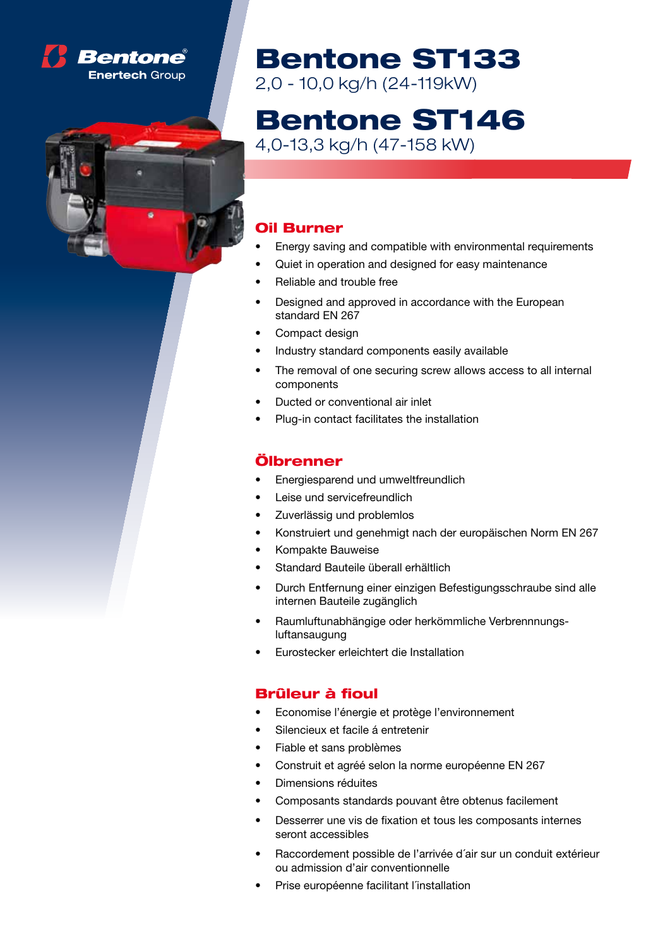



## Bentone ST133

2,0 - 10,0 kg/h (24-119kW)

# Bentone ST146

4,0-13,3 kg/h (47-158 kW)

### Oil Burner

- Energy saving and compatible with environmental requirements
- Quiet in operation and designed for easy maintenance
- **Reliable and trouble free**
- Designed and approved in accordance with the European standard EN 267
- Compact design
- Industry standard components easily available
- The removal of one securing screw allows access to all internal components
- Ducted or conventional air inlet
- Plug-in contact facilitates the installation

#### Ölbrenner

- Energiesparend und umweltfreundlich
- Leise und servicefreundlich
- Zuverlässig und problemlos
- Konstruiert und genehmigt nach der europäischen Norm EN 267
- Kompakte Bauweise
- Standard Bauteile überall erhältlich
- Durch Entfernung einer einzigen Befestigungsschraube sind alle internen Bauteile zugänglich
- Raumluftunabhängige oder herkömmliche Verbrennnungsluftansaugung
- Eurostecker erleichtert die Installation

#### Brûleur à fioul

- Economise l'énergie et protège l'environnement
- Silencieux et facile á entretenir
- Fiable et sans problèmes
- Construit et agréé selon la norme européenne EN 267
- Dimensions réduites
- Composants standards pouvant être obtenus facilement
- Desserrer une vis de fixation et tous les composants internes seront accessibles
- Raccordement possible de l'arrivée d'air sur un conduit extérieur ou admission d'air conventionnelle
- Prise européenne facilitant l'installation